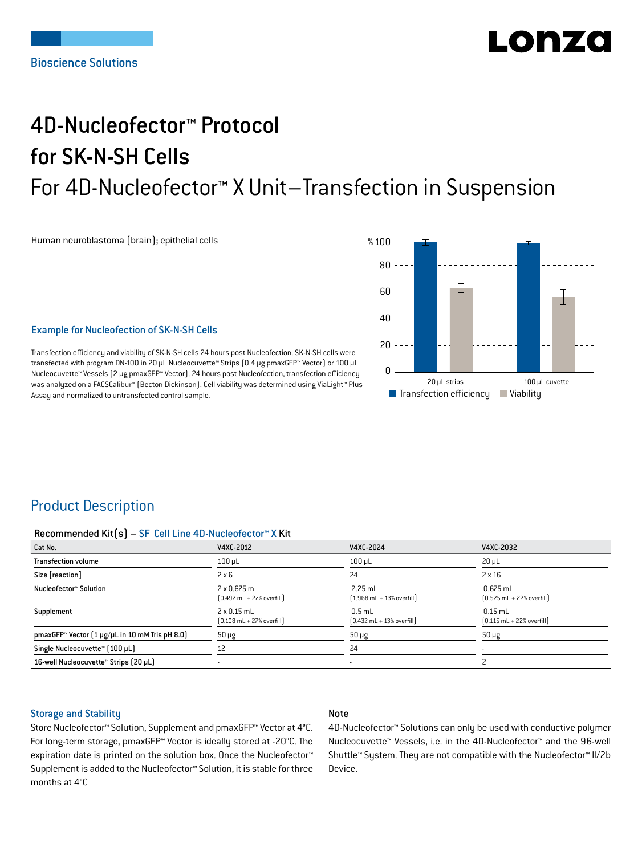# LONZ

## 4D-Nucleofector™ Protocol for SK-N-SH Cells For 4D-Nucleofector™ X Unit–Transfection in Suspension

Human neuroblastoma (brain); epithelial cells



## Example for Nucleofection of SK-N-SH Cells

Transfection efficiency and viability of SK-N-SH cells 24 hours post Nucleofection. SK-N-SH cells were transfected with program DN-100 in 20 μL Nucleocuvette™ Strips (0.4 μg pmaxGFP™ Vector) or 100 μL Nucleocuvette™ Vessels (2 μg pmaxGFP™ Vector). 24 hours post Nucleofection, transfection efficiency was analyzed on a FACSCalibur™ (Becton Dickinson). Cell viability was determined using ViaLight™ Plus Assay and normalized to untransfected control sample.

## Product Description

#### Recommended Kit(s) – SF Cell Line 4D-Nucleofector™ X Kit

| Cat No.                                                           | V4XC-2012                                                          | V4XC-2024                                                 | V4XC-2032                                                  |
|-------------------------------------------------------------------|--------------------------------------------------------------------|-----------------------------------------------------------|------------------------------------------------------------|
| <b>Transfection volume</b>                                        | $100$ $\mu$ L                                                      | $100$ $\mu$ L                                             | $20 \mu L$                                                 |
| Size [reaction]                                                   | $2 \times 6$                                                       | 24                                                        | $2 \times 16$                                              |
| Nucleofector™ Solution                                            | 2 x 0.675 mL<br>$[0.492 \text{ mL} + 27\% \text{ overfill}]$       | $2.25$ mL<br>$[1.968 \text{ mL} + 13\% \text{ overfill}]$ | $0.675$ mL<br>$[0.525 \text{ mL} + 22\% \text{ overfill}]$ |
| Supplement                                                        | $2 \times 0.15$ mL<br>$[0.108 \text{ mL} + 27\% \text{ overfill}]$ | $0.5$ mL<br>$[0.432 \text{ mL} + 13\% \text{ overfill}]$  | $0.15$ mL<br>$[0.115 \text{ mL} + 22\% \text{ overfill}]$  |
| pmaxGFP <sup>*</sup> Vector $[1 \mu g/\mu L$ in 10 mM Tris pH 8.0 | $50 \mu g$                                                         | $50 \mu g$                                                | $50 \mu g$                                                 |
| Single Nucleocuvette™ [100 µL]                                    | 12                                                                 | 24                                                        | ۰                                                          |
| 16-well Nucleocuvette™ Strips (20 µL)                             |                                                                    | $\blacksquare$                                            |                                                            |

## Storage and Stability

## Note

Store Nucleofector™ Solution, Supplement and pmaxGFP™ Vector at 4°C. For long-term storage, pmaxGFP™ Vector is ideally stored at -20°C. The expiration date is printed on the solution box. Once the Nucleofector™ Supplement is added to the Nucleofector™ Solution, it is stable for three months at 4°C

4D-Nucleofector™ Solutions can only be used with conductive polymer Nucleocuvette™ Vessels, i.e. in the 4D-Nucleofector™ and the 96-well Shuttle™ System. They are not compatible with the Nucleofector™ II/2b Device.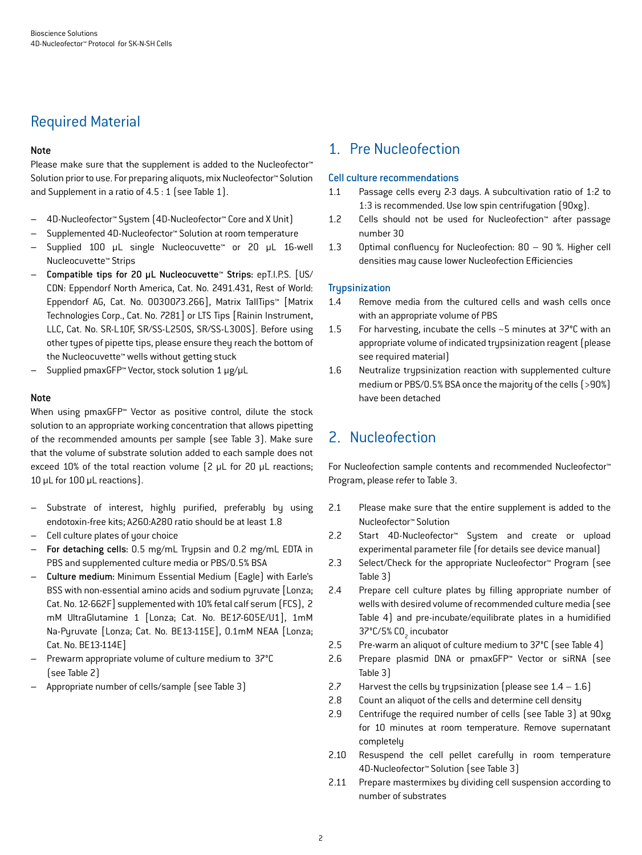## Required Material

## Note

Please make sure that the supplement is added to the Nucleofector<sup>™</sup> Solution prior to use. For preparing aliquots, mix Nucleofector™ Solution and Supplement in a ratio of 4.5 : 1 (see Table 1).

- 4D-Nucleofector™ System (4D-Nucleofector™ Core and X Unit)
- Supplemented 4D-Nucleofector™ Solution at room temperature
- Supplied 100 µL single Nucleocuvette™ or 20 µL 16-well Nucleocuvette™ Strips
- Compatible tips for 20 µL Nucleocuvette™ Strips: epT.I.P.S. [US/ CDN: Eppendorf North America, Cat. No. 2491.431, Rest of World: Eppendorf AG, Cat. No. 0030073.266], Matrix TallTips™ [Matrix Technologies Corp., Cat. No. 7281] or LTS Tips [Rainin Instrument, LLC, Cat. No. SR-L10F, SR/SS-L250S, SR/SS-L300S]. Before using other types of pipette tips, please ensure they reach the bottom of the Nucleocuvette™ wells without getting stuck
- Supplied pmaxGFP™ Vector, stock solution 1 μg/μL

## Note

When using pmaxGFP™ Vector as positive control, dilute the stock solution to an appropriate working concentration that allows pipetting of the recommended amounts per sample (see Table 3). Make sure that the volume of substrate solution added to each sample does not exceed 10% of the total reaction volume (2 μL for 20 μL reactions; 10 μL for 100 μL reactions).

- Substrate of interest, highly purified, preferably by using endotoxin-free kits; A260:A280 ratio should be at least 1.8
- Cell culture plates of your choice
- For detaching cells: 0.5 mg/mL Trypsin and 0.2 mg/mL EDTA in PBS and supplemented culture media or PBS/0.5% BSA
- Culture medium: Minimum Essential Medium (Eagle) with Earle's BSS with non-essential amino acids and sodium pyruvate [Lonza; Cat. No. 12-662F] supplemented with 10% fetal calf serum (FCS), 2 mM UltraGlutamine 1 [Lonza; Cat. No. BE17-605E/U1], 1mM Na-Pyruvate [Lonza; Cat. No. BE13-115E], 0.1mM NEAA [Lonza; Cat. No. BE13-114E]
- Prewarm appropriate volume of culture medium to 37°C (see Table 2)
- Appropriate number of cells/sample (see Table 3)

## 1. Pre Nucleofection

## Cell culture recommendations

- 1.1 Passage cells every 2-3 days. A subcultivation ratio of 1:2 to 1:3 is recommended. Use low spin centrifugation (90xg).
- 1.2 Cells should not be used for Nucleofection™ after passage number 30
- 1.3 Optimal confluency for Nucleofection: 80 90 %. Higher cell densities may cause lower Nucleofection Efficiencies

## **Trupsinization**

- 1.4 Remove media from the cultured cells and wash cells once with an appropriate volume of PBS
- 1.5 For harvesting, incubate the cells ~5 minutes at 37°C with an appropriate volume of indicated trypsinization reagent (please see required material)
- 1.6 Neutralize trypsinization reaction with supplemented culture medium or PBS/0.5% BSA once the majority of the cells (>90%) have been detached

## 2. Nucleofection

For Nucleofection sample contents and recommended Nucleofector™ Program, please refer to Table 3.

- 2.1 Please make sure that the entire supplement is added to the Nucleofector™ Solution
- 2.2 Start 4D-Nucleofector™ System and create or upload experimental parameter file (for details see device manual)
- 2.3 Select/Check for the appropriate Nucleofector™ Program (see Table 3)
- 2.4 Prepare cell culture plates by filling appropriate number of wells with desired volume of recommended culture media (see Table 4) and pre-incubate/equilibrate plates in a humidified 37°C/5% CO<sub>2</sub> incubator
- 2.5 Pre-warm an aliquot of culture medium to 37°C (see Table 4)
- 2.6 Prepare plasmid DNA or pmaxGFP™ Vector or siRNA (see Table 3)
- 2.7 Harvest the cells by trypsinization (please see  $1.4 1.6$ )
- 2.8 Count an aliquot of the cells and determine cell density
- 2.9 Centrifuge the required number of cells (see Table 3) at 90xg for 10 minutes at room temperature. Remove supernatant completely
- 2.10 Resuspend the cell pellet carefully in room temperature 4D-Nucleofector™ Solution (see Table 3)
- 2.11 Prepare mastermixes by dividing cell suspension according to number of substrates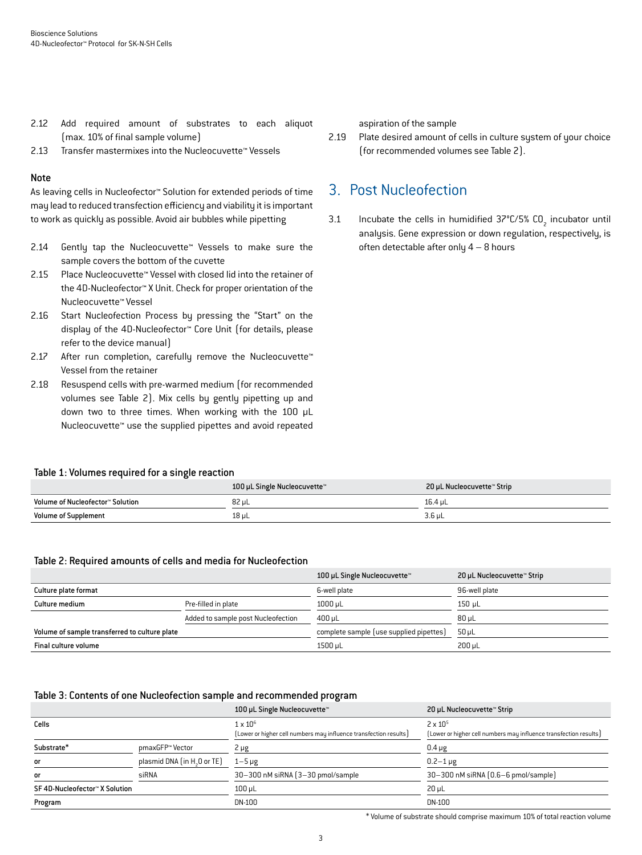- 2.12 Add required amount of substrates to each aliquot (max. 10% of final sample volume)
- 2.13 Transfer mastermixes into the Nucleocuvette™ Vessels

#### Note

As leaving cells in Nucleofector™ Solution for extended periods of time may lead to reduced transfection efficiency and viability it is important to work as quickly as possible. Avoid air bubbles while pipetting

- 2.14 Gently tap the Nucleocuvette™ Vessels to make sure the sample covers the bottom of the cuvette
- 2.15 Place Nucleocuvette™ Vessel with closed lid into the retainer of the 4D-Nucleofector™ X Unit. Check for proper orientation of the Nucleocuvette™ Vessel
- 2.16 Start Nucleofection Process by pressing the "Start" on the display of the 4D-Nucleofector™ Core Unit (for details, please refer to the device manual)
- 2.17 After run completion, carefully remove the Nucleocuvette™ Vessel from the retainer
- 2.18 Resuspend cells with pre-warmed medium (for recommended volumes see Table 2). Mix cells by gently pipetting up and down two to three times. When working with the 100 µL Nucleocuvette™ use the supplied pipettes and avoid repeated

#### Table 1: Volumes required for a single reaction

aspiration of the sample

2.19 Plate desired amount of cells in culture system of your choice (for recommended volumes see Table 2).

## 3. Post Nucleofection

3.1 Incubate the cells in humidified  $37^{\circ}$ C/5% CO<sub>2</sub> incubator until analysis. Gene expression or down regulation, respectively, is often detectable after only  $4 - 8$  hours

|                                  | 100 µL Single Nucleocuvette™ | 20 µL Nucleocuvette™ Strip |
|----------------------------------|------------------------------|----------------------------|
| Volume of Nucleofector™ Solution | 82 ul                        | 16.4 uL                    |
| <b>Volume of Supplement</b>      | 18 uL                        | 3.6 uL                     |

#### Table 2: Required amounts of cells and media for Nucleofection

|                                               |                                    | 100 µL Single Nucleocuvette™            | 20 µL Nucleocuvette™ Strip |
|-----------------------------------------------|------------------------------------|-----------------------------------------|----------------------------|
| Culture plate format                          |                                    | 6-well plate                            | 96-well plate              |
| Culture medium                                | Pre-filled in plate                | $1000$ µL                               | $150$ µL                   |
|                                               | Added to sample post Nucleofection | 400 µL                                  | $80 \mu L$                 |
| Volume of sample transferred to culture plate |                                    | complete sample (use supplied pipettes) | $50$ uL                    |
| Final culture volume                          |                                    | 1500 µL                                 | $200 \mu L$                |

#### Table 3: Contents of one Nucleofection sample and recommended program

|                                |                                         | 100 µL Single Nucleocuvette™                                                         | 20 µL Nucleocuvette™ Strip                                                             |
|--------------------------------|-----------------------------------------|--------------------------------------------------------------------------------------|----------------------------------------------------------------------------------------|
| Cells                          |                                         | $1 \times 10^6$<br>[Lower or higher cell numbers may influence transfection results] | $2 \times 10^{5}$<br>[Lower or higher cell numbers may influence transfection results] |
| Substrate*                     | pmaxGFP™ Vector                         | $2 \mu g$                                                                            | $0.4 \mu g$                                                                            |
| or                             | plasmid DNA (in H <sub>3</sub> O or TE) | $1 - 5 \mu g$                                                                        | $0.2 - 1 \,\mu g$                                                                      |
| or                             | siRNA                                   | 30-300 nM siRNA (3-30 pmol/sample                                                    | 30-300 nM siRNA (0.6-6 pmol/sample)                                                    |
| SF 4D-Nucleofector™ X Solution |                                         | $100$ $\mu$ L                                                                        | $20 \mu L$                                                                             |
| Program                        |                                         | DN-100                                                                               | DN-100                                                                                 |

\* Volume of substrate should comprise maximum 10% of total reaction volume